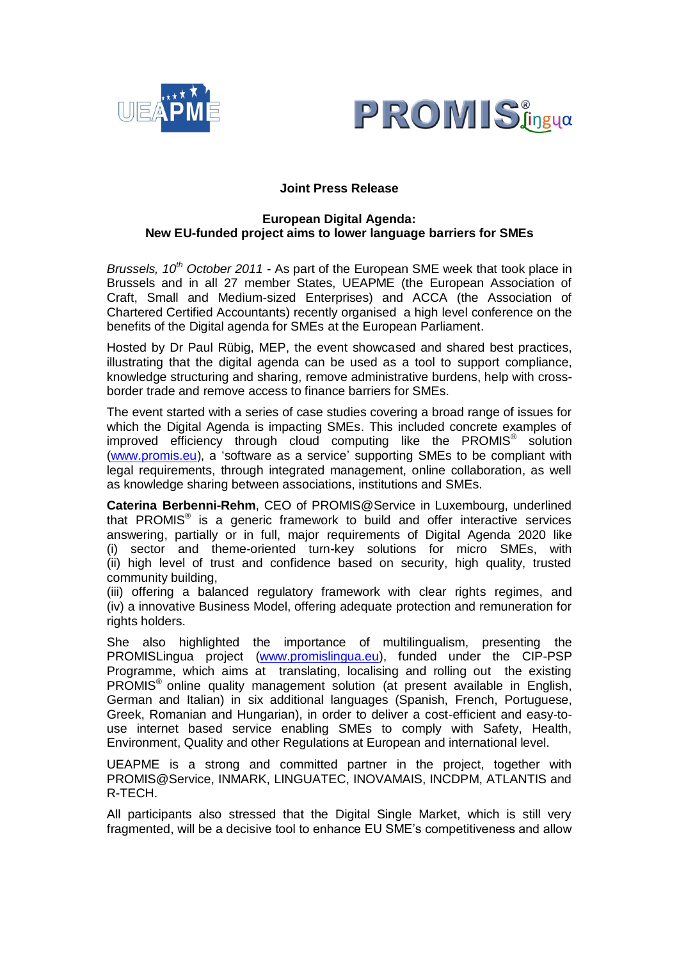



# **Joint Press Release**

# **European Digital Agenda: New EU-funded project aims to lower language barriers for SMEs**

*Brussels, 10th October 2011* - As part of the European SME week that took place in Brussels and in all 27 member States, UEAPME (the European Association of Craft, Small and Medium-sized Enterprises) and ACCA (the Association of Chartered Certified Accountants) recently organised a high level conference on the benefits of the Digital agenda for SMEs at the European Parliament.

Hosted by Dr Paul Rübig, MEP, the event showcased and shared best practices, illustrating that the digital agenda can be used as a tool to support compliance, knowledge structuring and sharing, remove administrative burdens, help with crossborder trade and remove access to finance barriers for SMEs.

The event started with a series of case studies covering a broad range of issues for which the Digital Agenda is impacting SMEs. This included concrete examples of improved efficiency through cloud computing like the PROMIS<sup>®</sup> solution [\(www.promis.eu\)](../Local%20Settings/Temporary%20Internet%20Files/Content.Outlook/29BMJVHU/www.promis.eu), a "software as a service" supporting SMEs to be compliant with legal requirements, through integrated management, online collaboration, as well as knowledge sharing between associations, institutions and SMEs.

**Caterina Berbenni-Rehm**, CEO of PROMIS@Service in Luxembourg, underlined that PROMIS<sup>®</sup> is a generic framework to build and offer interactive services answering, partially or in full, major requirements of Digital Agenda 2020 like (i) sector and theme-oriented turn-key solutions for micro SMEs, with (ii) high level of trust and confidence based on security, high quality, trusted community building,

(iii) offering a balanced regulatory framework with clear rights regimes, and (iv) a innovative Business Model, offering adequate protection and remuneration for rights holders.

She also highlighted the importance of multilingualism, presenting the PROMISLingua project [\(www.promislingua.eu\)](http://www.promislingua.eu/), funded under the CIP-PSP Programme, which aims at translating, localising and rolling out the existing PROMIS® online quality management solution (at present available in English, German and Italian) in six additional languages (Spanish, French, Portuguese, Greek, Romanian and Hungarian), in order to deliver a cost-efficient and easy-touse internet based service enabling SMEs to comply with Safety, Health, Environment, Quality and other Regulations at European and international level.

UEAPME is a strong and committed partner in the project, together with PROMIS@Service, INMARK, LINGUATEC, INOVAMAIS, INCDPM, ATLANTIS and R-TECH.

All participants also stressed that the Digital Single Market, which is still very fragmented, will be a decisive tool to enhance EU SME"s competitiveness and allow